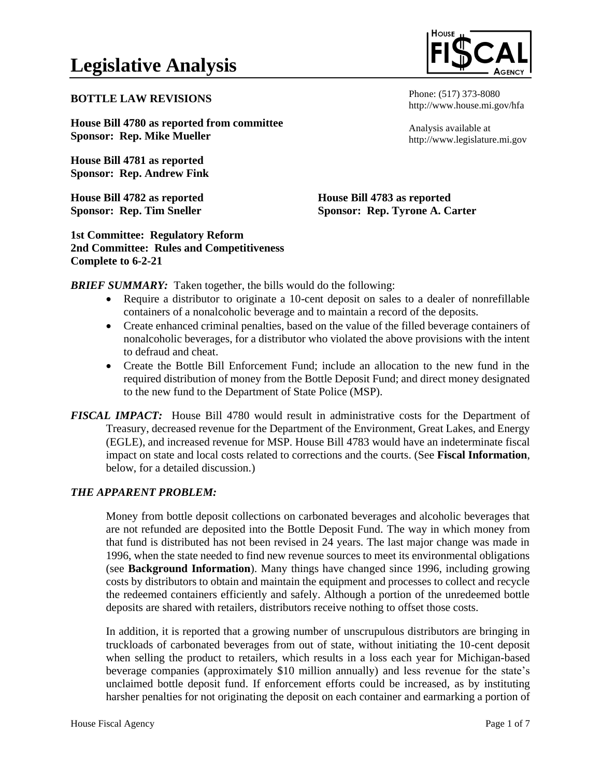## **BOTTLE LAW REVISIONS**

**House Bill 4780 as reported from committee Sponsor: Rep. Mike Mueller**

**House Bill 4781 as reported Sponsor: Rep. Andrew Fink**

**House Bill 4782 as reported Sponsor: Rep. Tim Sneller**

**1st Committee: Regulatory Reform 2nd Committee: Rules and Competitiveness Complete to 6-2-21**



Phone: (517) 373-8080 http://www.house.mi.gov/hfa

Analysis available at http://www.legislature.mi.gov

**House Bill 4783 as reported Sponsor: Rep. Tyrone A. Carter**

*BRIEF SUMMARY:* Taken together, the bills would do the following:

- Require a distributor to originate a 10-cent deposit on sales to a dealer of nonrefillable containers of a nonalcoholic beverage and to maintain a record of the deposits.
- Create enhanced criminal penalties, based on the value of the filled beverage containers of nonalcoholic beverages, for a distributor who violated the above provisions with the intent to defraud and cheat.
- Create the Bottle Bill Enforcement Fund; include an allocation to the new fund in the required distribution of money from the Bottle Deposit Fund; and direct money designated to the new fund to the Department of State Police (MSP).
- *FISCAL IMPACT:* House Bill 4780 would result in administrative costs for the Department of Treasury, decreased revenue for the Department of the Environment, Great Lakes, and Energy (EGLE), and increased revenue for MSP. House Bill 4783 would have an indeterminate fiscal impact on state and local costs related to corrections and the courts. (See **Fiscal Information**, below, for a detailed discussion.)

# *THE APPARENT PROBLEM:*

Money from bottle deposit collections on carbonated beverages and alcoholic beverages that are not refunded are deposited into the Bottle Deposit Fund. The way in which money from that fund is distributed has not been revised in 24 years. The last major change was made in 1996, when the state needed to find new revenue sources to meet its environmental obligations (see **Background Information**). Many things have changed since 1996, including growing costs by distributors to obtain and maintain the equipment and processes to collect and recycle the redeemed containers efficiently and safely. Although a portion of the unredeemed bottle deposits are shared with retailers, distributors receive nothing to offset those costs.

In addition, it is reported that a growing number of unscrupulous distributors are bringing in truckloads of carbonated beverages from out of state, without initiating the 10-cent deposit when selling the product to retailers, which results in a loss each year for Michigan-based beverage companies (approximately \$10 million annually) and less revenue for the state's unclaimed bottle deposit fund. If enforcement efforts could be increased, as by instituting harsher penalties for not originating the deposit on each container and earmarking a portion of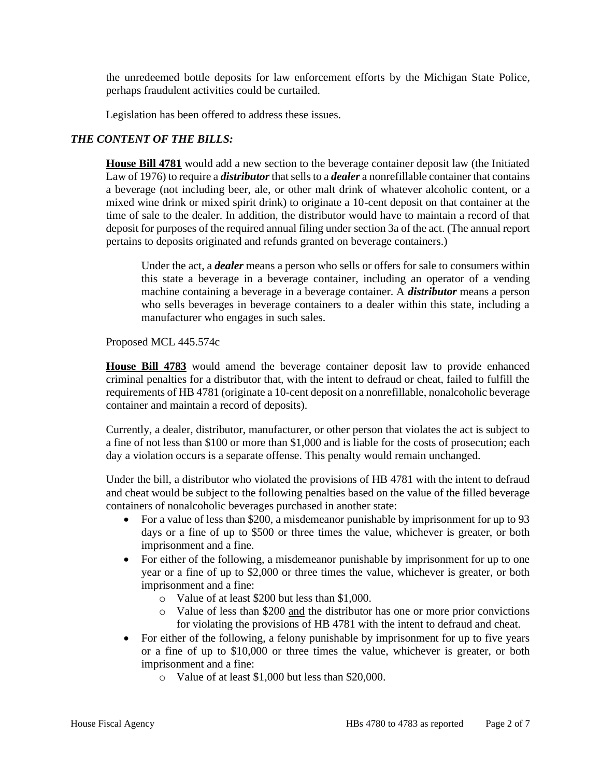the unredeemed bottle deposits for law enforcement efforts by the Michigan State Police, perhaps fraudulent activities could be curtailed.

Legislation has been offered to address these issues.

## *THE CONTENT OF THE BILLS:*

**House Bill 4781** would add a new section to the beverage container deposit law (the Initiated Law of 1976) to require a *distributor*that sells to a *dealer* a nonrefillable container that contains a beverage (not including beer, ale, or other malt drink of whatever alcoholic content, or a mixed wine drink or mixed spirit drink) to originate a 10-cent deposit on that container at the time of sale to the dealer. In addition, the distributor would have to maintain a record of that deposit for purposes of the required annual filing under section 3a of the act. (The annual report pertains to deposits originated and refunds granted on beverage containers.)

Under the act, a *dealer* means a person who sells or offers for sale to consumers within this state a beverage in a beverage container, including an operator of a vending machine containing a beverage in a beverage container. A *distributor* means a person who sells beverages in beverage containers to a dealer within this state, including a manufacturer who engages in such sales.

Proposed MCL 445.574c

**House Bill 4783** would amend the beverage container deposit law to provide enhanced criminal penalties for a distributor that, with the intent to defraud or cheat, failed to fulfill the requirements of HB 4781 (originate a 10-cent deposit on a nonrefillable, nonalcoholic beverage container and maintain a record of deposits).

Currently, a dealer, distributor, manufacturer, or other person that violates the act is subject to a fine of not less than \$100 or more than \$1,000 and is liable for the costs of prosecution; each day a violation occurs is a separate offense. This penalty would remain unchanged.

Under the bill, a distributor who violated the provisions of HB 4781 with the intent to defraud and cheat would be subject to the following penalties based on the value of the filled beverage containers of nonalcoholic beverages purchased in another state:

- For a value of less than \$200, a misdemeanor punishable by imprisonment for up to 93 days or a fine of up to \$500 or three times the value, whichever is greater, or both imprisonment and a fine.
- For either of the following, a misdemeanor punishable by imprisonment for up to one year or a fine of up to \$2,000 or three times the value, whichever is greater, or both imprisonment and a fine:
	- o Value of at least \$200 but less than \$1,000.
	- o Value of less than \$200 and the distributor has one or more prior convictions for violating the provisions of HB 4781 with the intent to defraud and cheat.
- For either of the following, a felony punishable by imprisonment for up to five years or a fine of up to \$10,000 or three times the value, whichever is greater, or both imprisonment and a fine:
	- o Value of at least \$1,000 but less than \$20,000.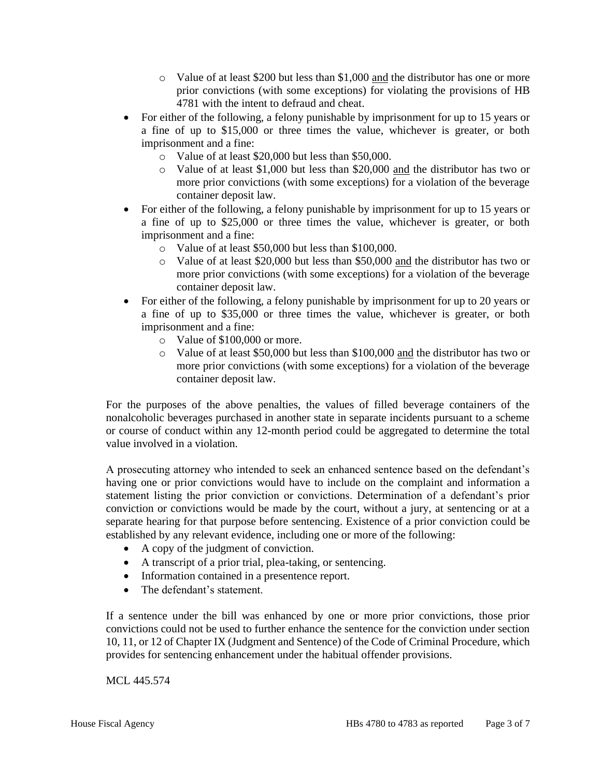- o Value of at least \$200 but less than \$1,000 and the distributor has one or more prior convictions (with some exceptions) for violating the provisions of HB 4781 with the intent to defraud and cheat.
- For either of the following, a felony punishable by imprisonment for up to 15 years or a fine of up to \$15,000 or three times the value, whichever is greater, or both imprisonment and a fine:
	- o Value of at least \$20,000 but less than \$50,000.
	- o Value of at least \$1,000 but less than \$20,000 and the distributor has two or more prior convictions (with some exceptions) for a violation of the beverage container deposit law.
- For either of the following, a felony punishable by imprisonment for up to 15 years or a fine of up to \$25,000 or three times the value, whichever is greater, or both imprisonment and a fine:
	- o Value of at least \$50,000 but less than \$100,000.
	- o Value of at least \$20,000 but less than \$50,000 and the distributor has two or more prior convictions (with some exceptions) for a violation of the beverage container deposit law.
- For either of the following, a felony punishable by imprisonment for up to 20 years or a fine of up to \$35,000 or three times the value, whichever is greater, or both imprisonment and a fine:
	- o Value of \$100,000 or more.
	- o Value of at least \$50,000 but less than \$100,000 and the distributor has two or more prior convictions (with some exceptions) for a violation of the beverage container deposit law.

For the purposes of the above penalties, the values of filled beverage containers of the nonalcoholic beverages purchased in another state in separate incidents pursuant to a scheme or course of conduct within any 12-month period could be aggregated to determine the total value involved in a violation.

A prosecuting attorney who intended to seek an enhanced sentence based on the defendant's having one or prior convictions would have to include on the complaint and information a statement listing the prior conviction or convictions. Determination of a defendant's prior conviction or convictions would be made by the court, without a jury, at sentencing or at a separate hearing for that purpose before sentencing. Existence of a prior conviction could be established by any relevant evidence, including one or more of the following:

- A copy of the judgment of conviction.
- A transcript of a prior trial, plea-taking, or sentencing.
- Information contained in a presentence report.
- The defendant's statement.

If a sentence under the bill was enhanced by one or more prior convictions, those prior convictions could not be used to further enhance the sentence for the conviction under section 10, 11, or 12 of Chapter IX (Judgment and Sentence) of the Code of Criminal Procedure, which provides for sentencing enhancement under the habitual offender provisions.

MCL 445.574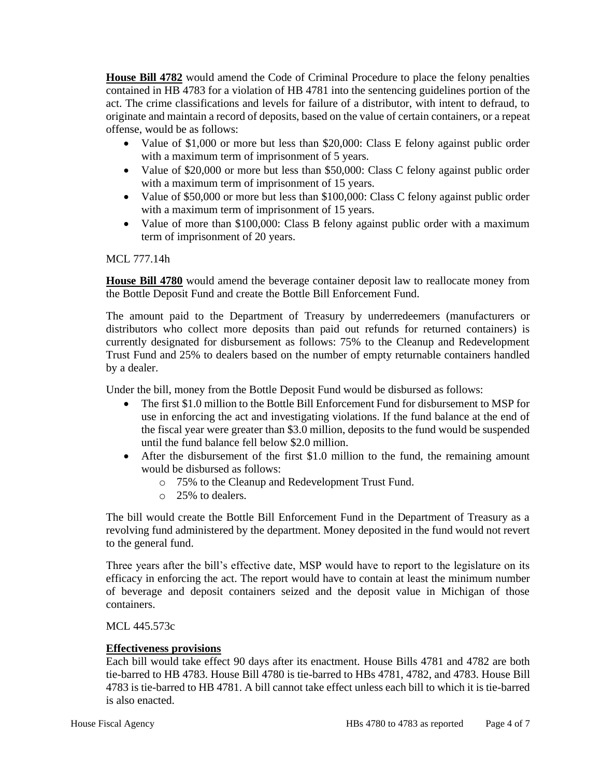**House Bill 4782** would amend the Code of Criminal Procedure to place the felony penalties contained in HB 4783 for a violation of HB 4781 into the sentencing guidelines portion of the act. The crime classifications and levels for failure of a distributor, with intent to defraud, to originate and maintain a record of deposits, based on the value of certain containers, or a repeat offense, would be as follows:

- Value of \$1,000 or more but less than \$20,000: Class E felony against public order with a maximum term of imprisonment of 5 years.
- Value of \$20,000 or more but less than \$50,000: Class C felony against public order with a maximum term of imprisonment of 15 years.
- Value of \$50,000 or more but less than \$100,000: Class C felony against public order with a maximum term of imprisonment of 15 years.
- Value of more than \$100,000: Class B felony against public order with a maximum term of imprisonment of 20 years.

#### MCL 777.14h

**House Bill 4780** would amend the beverage container deposit law to reallocate money from the Bottle Deposit Fund and create the Bottle Bill Enforcement Fund.

The amount paid to the Department of Treasury by underredeemers (manufacturers or distributors who collect more deposits than paid out refunds for returned containers) is currently designated for disbursement as follows: 75% to the Cleanup and Redevelopment Trust Fund and 25% to dealers based on the number of empty returnable containers handled by a dealer.

Under the bill, money from the Bottle Deposit Fund would be disbursed as follows:

- The first \$1.0 million to the Bottle Bill Enforcement Fund for disbursement to MSP for use in enforcing the act and investigating violations. If the fund balance at the end of the fiscal year were greater than \$3.0 million, deposits to the fund would be suspended until the fund balance fell below \$2.0 million.
- After the disbursement of the first \$1.0 million to the fund, the remaining amount would be disbursed as follows:
	- o 75% to the Cleanup and Redevelopment Trust Fund.
	- o 25% to dealers.

The bill would create the Bottle Bill Enforcement Fund in the Department of Treasury as a revolving fund administered by the department. Money deposited in the fund would not revert to the general fund.

Three years after the bill's effective date, MSP would have to report to the legislature on its efficacy in enforcing the act. The report would have to contain at least the minimum number of beverage and deposit containers seized and the deposit value in Michigan of those containers.

## MCL 445.573c

## **Effectiveness provisions**

Each bill would take effect 90 days after its enactment. House Bills 4781 and 4782 are both tie-barred to HB 4783. House Bill 4780 is tie-barred to HBs 4781, 4782, and 4783. House Bill 4783 is tie-barred to HB 4781. A bill cannot take effect unless each bill to which it is tie-barred is also enacted.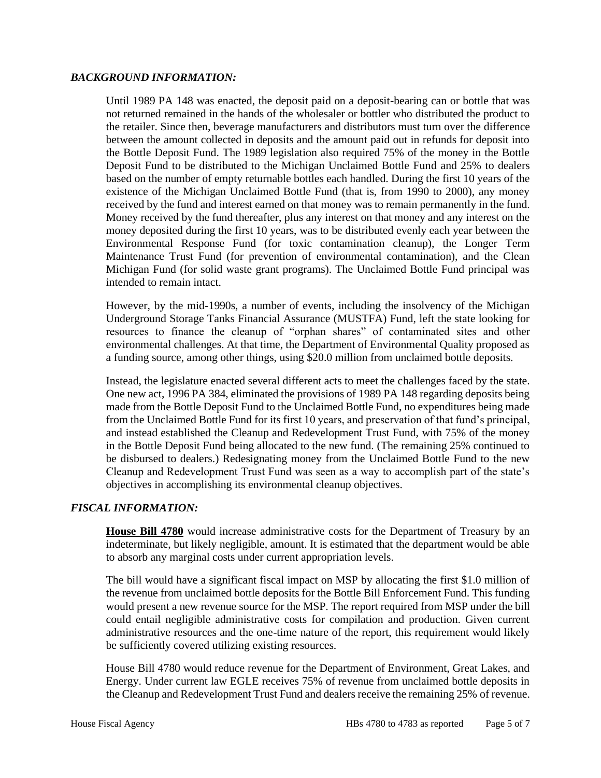#### *BACKGROUND INFORMATION:*

Until 1989 PA 148 was enacted, the deposit paid on a deposit-bearing can or bottle that was not returned remained in the hands of the wholesaler or bottler who distributed the product to the retailer. Since then, beverage manufacturers and distributors must turn over the difference between the amount collected in deposits and the amount paid out in refunds for deposit into the Bottle Deposit Fund. The 1989 legislation also required 75% of the money in the Bottle Deposit Fund to be distributed to the Michigan Unclaimed Bottle Fund and 25% to dealers based on the number of empty returnable bottles each handled. During the first 10 years of the existence of the Michigan Unclaimed Bottle Fund (that is, from 1990 to 2000), any money received by the fund and interest earned on that money was to remain permanently in the fund. Money received by the fund thereafter, plus any interest on that money and any interest on the money deposited during the first 10 years, was to be distributed evenly each year between the Environmental Response Fund (for toxic contamination cleanup), the Longer Term Maintenance Trust Fund (for prevention of environmental contamination), and the Clean Michigan Fund (for solid waste grant programs). The Unclaimed Bottle Fund principal was intended to remain intact.

However, by the mid-1990s, a number of events, including the insolvency of the Michigan Underground Storage Tanks Financial Assurance (MUSTFA) Fund, left the state looking for resources to finance the cleanup of "orphan shares" of contaminated sites and other environmental challenges. At that time, the Department of Environmental Quality proposed as a funding source, among other things, using \$20.0 million from unclaimed bottle deposits.

Instead, the legislature enacted several different acts to meet the challenges faced by the state. One new act, 1996 PA 384, eliminated the provisions of 1989 PA 148 regarding deposits being made from the Bottle Deposit Fund to the Unclaimed Bottle Fund, no expenditures being made from the Unclaimed Bottle Fund for its first 10 years, and preservation of that fund's principal, and instead established the Cleanup and Redevelopment Trust Fund, with 75% of the money in the Bottle Deposit Fund being allocated to the new fund. (The remaining 25% continued to be disbursed to dealers.) Redesignating money from the Unclaimed Bottle Fund to the new Cleanup and Redevelopment Trust Fund was seen as a way to accomplish part of the state's objectives in accomplishing its environmental cleanup objectives.

## *FISCAL INFORMATION:*

**House Bill 4780** would increase administrative costs for the Department of Treasury by an indeterminate, but likely negligible, amount. It is estimated that the department would be able to absorb any marginal costs under current appropriation levels.

The bill would have a significant fiscal impact on MSP by allocating the first \$1.0 million of the revenue from unclaimed bottle deposits for the Bottle Bill Enforcement Fund. This funding would present a new revenue source for the MSP. The report required from MSP under the bill could entail negligible administrative costs for compilation and production. Given current administrative resources and the one-time nature of the report, this requirement would likely be sufficiently covered utilizing existing resources.

House Bill 4780 would reduce revenue for the Department of Environment, Great Lakes, and Energy. Under current law EGLE receives 75% of revenue from unclaimed bottle deposits in the Cleanup and Redevelopment Trust Fund and dealers receive the remaining 25% of revenue.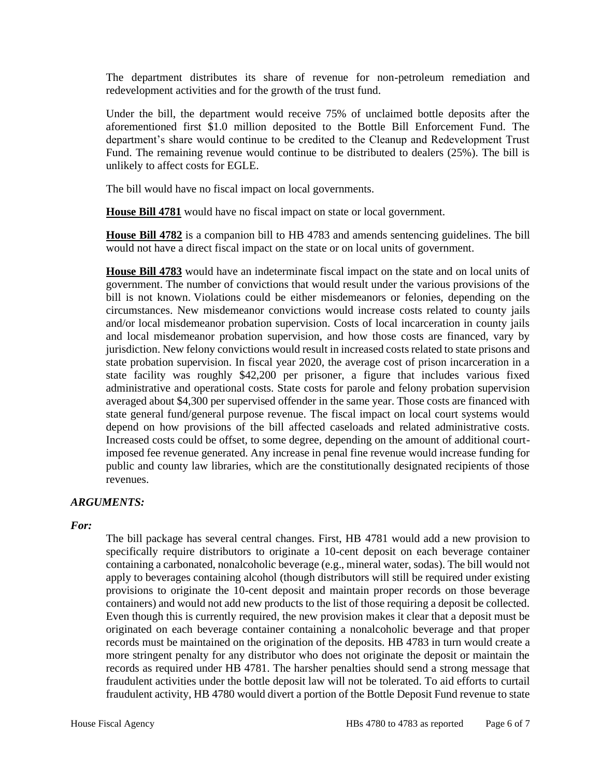The department distributes its share of revenue for non-petroleum remediation and redevelopment activities and for the growth of the trust fund.

Under the bill, the department would receive 75% of unclaimed bottle deposits after the aforementioned first \$1.0 million deposited to the Bottle Bill Enforcement Fund. The department's share would continue to be credited to the Cleanup and Redevelopment Trust Fund. The remaining revenue would continue to be distributed to dealers (25%). The bill is unlikely to affect costs for EGLE.

The bill would have no fiscal impact on local governments.

**House Bill 4781** would have no fiscal impact on state or local government.

**House Bill 4782** is a companion bill to HB 4783 and amends sentencing guidelines. The bill would not have a direct fiscal impact on the state or on local units of government.

**House Bill 4783** would have an indeterminate fiscal impact on the state and on local units of government. The number of convictions that would result under the various provisions of the bill is not known. Violations could be either misdemeanors or felonies, depending on the circumstances. New misdemeanor convictions would increase costs related to county jails and/or local misdemeanor probation supervision. Costs of local incarceration in county jails and local misdemeanor probation supervision, and how those costs are financed, vary by jurisdiction. New felony convictions would result in increased costs related to state prisons and state probation supervision. In fiscal year 2020, the average cost of prison incarceration in a state facility was roughly \$42,200 per prisoner, a figure that includes various fixed administrative and operational costs. State costs for parole and felony probation supervision averaged about \$4,300 per supervised offender in the same year. Those costs are financed with state general fund/general purpose revenue. The fiscal impact on local court systems would depend on how provisions of the bill affected caseloads and related administrative costs. Increased costs could be offset, to some degree, depending on the amount of additional courtimposed fee revenue generated. Any increase in penal fine revenue would increase funding for public and county law libraries, which are the constitutionally designated recipients of those revenues.

## *ARGUMENTS:*

*For:*

The bill package has several central changes. First, HB 4781 would add a new provision to specifically require distributors to originate a 10-cent deposit on each beverage container containing a carbonated, nonalcoholic beverage (e.g., mineral water, sodas). The bill would not apply to beverages containing alcohol (though distributors will still be required under existing provisions to originate the 10-cent deposit and maintain proper records on those beverage containers) and would not add new products to the list of those requiring a deposit be collected. Even though this is currently required, the new provision makes it clear that a deposit must be originated on each beverage container containing a nonalcoholic beverage and that proper records must be maintained on the origination of the deposits. HB 4783 in turn would create a more stringent penalty for any distributor who does not originate the deposit or maintain the records as required under HB 4781. The harsher penalties should send a strong message that fraudulent activities under the bottle deposit law will not be tolerated. To aid efforts to curtail fraudulent activity, HB 4780 would divert a portion of the Bottle Deposit Fund revenue to state